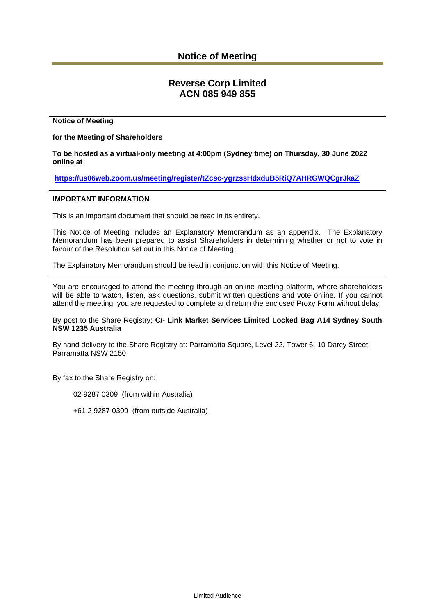# **Notice of Meeting**

# **Reverse Corp Limited ACN 085 949 855**

#### **Notice of Meeting**

**for the Meeting of Shareholders**

**To be hosted as a virtual-only meeting at 4:00pm (Sydney time) on Thursday, 30 June 2022 online at**

**<https://us06web.zoom.us/meeting/register/tZcsc-ygrzssHdxduB5RiQ7AHRGWQCgrJkaZ>**

#### **IMPORTANT INFORMATION**

This is an important document that should be read in its entirety.

This Notice of Meeting includes an Explanatory Memorandum as an appendix. The Explanatory Memorandum has been prepared to assist Shareholders in determining whether or not to vote in favour of the Resolution set out in this Notice of Meeting.

The Explanatory Memorandum should be read in conjunction with this Notice of Meeting.

You are encouraged to attend the meeting through an online meeting platform, where shareholders will be able to watch, listen, ask questions, submit written questions and vote online. If you cannot attend the meeting, you are requested to complete and return the enclosed Proxy Form without delay:

By post to the Share Registry: **C/- Link Market Services Limited Locked Bag A14 Sydney South NSW 1235 Australia**

By hand delivery to the Share Registry at: Parramatta Square, Level 22, Tower 6, 10 Darcy Street, Parramatta NSW 2150

By fax to the Share Registry on:

02 9287 0309 (from within Australia)

+61 2 9287 0309 (from outside Australia)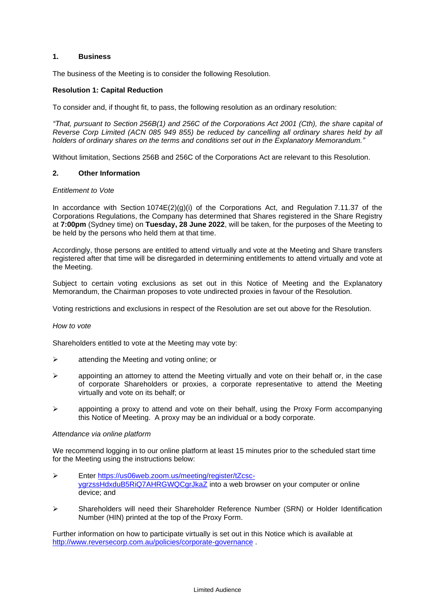# **1. Business**

The business of the Meeting is to consider the following Resolution.

# **Resolution 1: Capital Reduction**

To consider and, if thought fit, to pass, the following resolution as an ordinary resolution:

*"That, pursuant to Section 256B(1) and 256C of the Corporations Act 2001 (Cth), the share capital of Reverse Corp Limited (ACN 085 949 855) be reduced by cancelling all ordinary shares held by all holders of ordinary shares on the terms and conditions set out in the Explanatory Memorandum."*

Without limitation, Sections 256B and 256C of the Corporations Act are relevant to this Resolution.

# **2. Other Information**

#### *Entitlement to Vote*

In accordance with Section  $1074E(2)(g)(i)$  of the Corporations Act, and Regulation 7.11.37 of the Corporations Regulations, the Company has determined that Shares registered in the Share Registry at **7:00pm** (Sydney time) on **Tuesday, 28 June 2022**, will be taken, for the purposes of the Meeting to be held by the persons who held them at that time.

Accordingly, those persons are entitled to attend virtually and vote at the Meeting and Share transfers registered after that time will be disregarded in determining entitlements to attend virtually and vote at the Meeting.

Subject to certain voting exclusions as set out in this Notice of Meeting and the Explanatory Memorandum, the Chairman proposes to vote undirected proxies in favour of the Resolution.

Voting restrictions and exclusions in respect of the Resolution are set out above for the Resolution.

#### *How to vote*

Shareholders entitled to vote at the Meeting may vote by:

- ➢ attending the Meeting and voting online; or
- $\triangleright$  appointing an attorney to attend the Meeting virtually and vote on their behalf or, in the case of corporate Shareholders or proxies, a corporate representative to attend the Meeting virtually and vote on its behalf; or
- ➢ appointing a proxy to attend and vote on their behalf, using the Proxy Form accompanying this Notice of Meeting. A proxy may be an individual or a body corporate.

#### *Attendance via online platform*

We recommend logging in to our online platform at least 15 minutes prior to the scheduled start time for the Meeting using the instructions below:

- ➢ Enter [https://us06web.zoom.us/meeting/register/tZcsc](https://us06web.zoom.us/meeting/register/tZcsc-ygrzssHdxduB5RiQ7AHRGWQCgrJkaZ)[ygrzssHdxduB5RiQ7AHRGWQCgrJkaZ](https://us06web.zoom.us/meeting/register/tZcsc-ygrzssHdxduB5RiQ7AHRGWQCgrJkaZ) into a web browser on your computer or online device; and
- ➢ Shareholders will need their Shareholder Reference Number (SRN) or Holder Identification Number (HIN) printed at the top of the Proxy Form.

Further information on how to participate virtually is set out in this Notice which is available at <http://www.reversecorp.com.au/policies/corporate-governance> .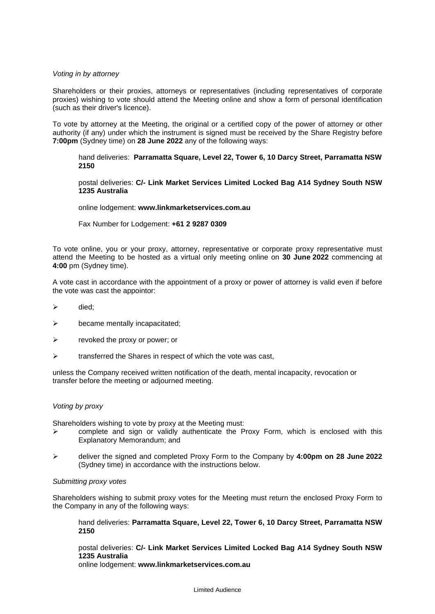#### *Voting in by attorney*

Shareholders or their proxies, attorneys or representatives (including representatives of corporate proxies) wishing to vote should attend the Meeting online and show a form of personal identification (such as their driver's licence).

To vote by attorney at the Meeting, the original or a certified copy of the power of attorney or other authority (if any) under which the instrument is signed must be received by the Share Registry before **7:00pm** (Sydney time) on **28 June 2022** any of the following ways:

hand deliveries: **Parramatta Square, Level 22, Tower 6, 10 Darcy Street, Parramatta NSW 2150**

postal deliveries: **C/- Link Market Services Limited Locked Bag A14 Sydney South NSW 1235 Australia**

online lodgement: **www.linkmarketservices.com.au**

Fax Number for Lodgement: **+61 2 9287 0309**

To vote online, you or your proxy, attorney, representative or corporate proxy representative must attend the Meeting to be hosted as a virtual only meeting online on **30 June 2022** commencing at **4:00** pm (Sydney time).

A vote cast in accordance with the appointment of a proxy or power of attorney is valid even if before the vote was cast the appointor:

- ➢ died;
- $\triangleright$  became mentally incapacitated;
- $\triangleright$  revoked the proxy or power; or
- $\triangleright$  transferred the Shares in respect of which the vote was cast,

unless the Company received written notification of the death, mental incapacity, revocation or transfer before the meeting or adjourned meeting.

#### *Voting by proxy*

Shareholders wishing to vote by proxy at the Meeting must:

- $\triangleright$  complete and sign or validly authenticate the Proxy Form, which is enclosed with this Explanatory Memorandum; and
- ➢ deliver the signed and completed Proxy Form to the Company by **4:00pm on 28 June 2022** (Sydney time) in accordance with the instructions below.

#### *Submitting proxy votes*

Shareholders wishing to submit proxy votes for the Meeting must return the enclosed Proxy Form to the Company in any of the following ways:

hand deliveries: **Parramatta Square, Level 22, Tower 6, 10 Darcy Street, Parramatta NSW 2150**

postal deliveries: **C/- Link Market Services Limited Locked Bag A14 Sydney South NSW 1235 Australia**

online lodgement: **www.linkmarketservices.com.au**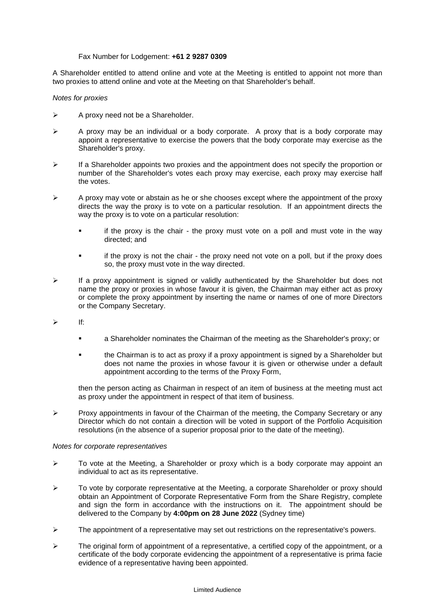# Fax Number for Lodgement: **+61 2 9287 0309**

A Shareholder entitled to attend online and vote at the Meeting is entitled to appoint not more than two proxies to attend online and vote at the Meeting on that Shareholder's behalf.

# *Notes for proxies*

- ➢ A proxy need not be a Shareholder.
- ➢ A proxy may be an individual or a body corporate. A proxy that is a body corporate may appoint a representative to exercise the powers that the body corporate may exercise as the Shareholder's proxy.
- $\triangleright$  If a Shareholder appoints two proxies and the appointment does not specify the proportion or number of the Shareholder's votes each proxy may exercise, each proxy may exercise half the votes.
- $\triangleright$  A proxy may vote or abstain as he or she chooses except where the appointment of the proxy directs the way the proxy is to vote on a particular resolution. If an appointment directs the way the proxy is to vote on a particular resolution:
	- if the proxy is the chair the proxy must vote on a poll and must vote in the way directed; and
	- if the proxy is not the chair the proxy need not vote on a poll, but if the proxy does so, the proxy must vote in the way directed.
- $\triangleright$  If a proxy appointment is signed or validly authenticated by the Shareholder but does not name the proxy or proxies in whose favour it is given, the Chairman may either act as proxy or complete the proxy appointment by inserting the name or names of one of more Directors or the Company Secretary.
- ➢ If:
	- a Shareholder nominates the Chairman of the meeting as the Shareholder's proxy; or
	- the Chairman is to act as proxy if a proxy appointment is signed by a Shareholder but does not name the proxies in whose favour it is given or otherwise under a default appointment according to the terms of the Proxy Form,

then the person acting as Chairman in respect of an item of business at the meeting must act as proxy under the appointment in respect of that item of business.

 $\triangleright$  Proxy appointments in favour of the Chairman of the meeting, the Company Secretary or any Director which do not contain a direction will be voted in support of the Portfolio Acquisition resolutions (in the absence of a superior proposal prior to the date of the meeting).

#### *Notes for corporate representatives*

- $\triangleright$  To vote at the Meeting, a Shareholder or proxy which is a body corporate may appoint an individual to act as its representative.
- ➢ To vote by corporate representative at the Meeting, a corporate Shareholder or proxy should obtain an Appointment of Corporate Representative Form from the Share Registry, complete and sign the form in accordance with the instructions on it. The appointment should be delivered to the Company by **4:00pm on 28 June 2022** (Sydney time)
- ➢ The appointment of a representative may set out restrictions on the representative's powers.
- $\triangleright$  The original form of appointment of a representative, a certified copy of the appointment, or a certificate of the body corporate evidencing the appointment of a representative is prima facie evidence of a representative having been appointed.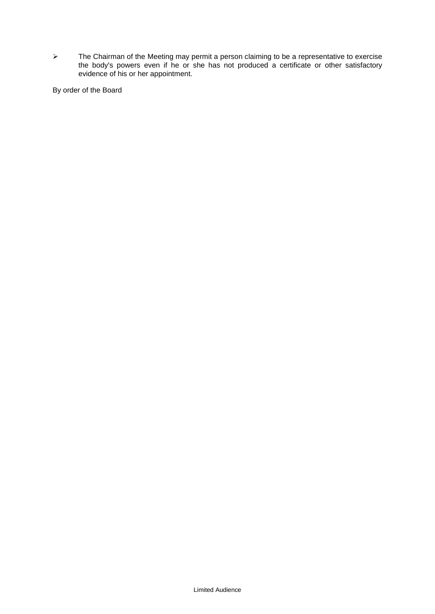$\triangleright$  The Chairman of the Meeting may permit a person claiming to be a representative to exercise the body's powers even if he or she has not produced a certificate or other satisfactory evidence of his or her appointment.

By order of the Board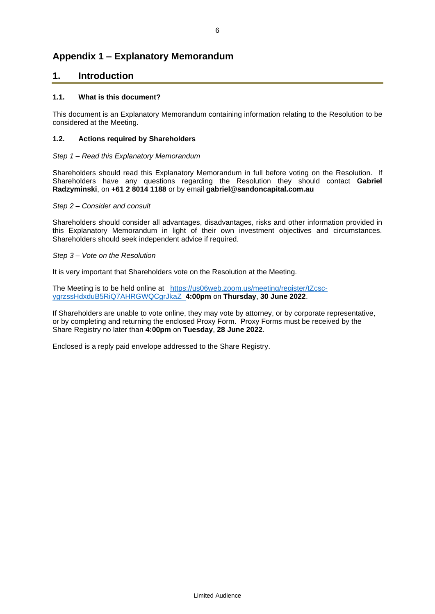# **Appendix 1 – Explanatory Memorandum**

# **1. Introduction**

# **1.1. What is this document?**

This document is an Explanatory Memorandum containing information relating to the Resolution to be considered at the Meeting.

# **1.2. Actions required by Shareholders**

### *Step 1 – Read this Explanatory Memorandum*

Shareholders should read this Explanatory Memorandum in full before voting on the Resolution. If Shareholders have any questions regarding the Resolution they should contact **Gabriel Radzyminski**, on **+61 2 8014 1188** or by email **gabriel@sandoncapital.com.au**

#### *Step 2 – Consider and consult*

Shareholders should consider all advantages, disadvantages, risks and other information provided in this Explanatory Memorandum in light of their own investment objectives and circumstances. Shareholders should seek independent advice if required.

#### *Step 3 – Vote on the Resolution*

It is very important that Shareholders vote on the Resolution at the Meeting.

The Meeting is to be held online at [https://us06web.zoom.us/meeting/register/tZcsc](https://us06web.zoom.us/meeting/register/tZcsc-ygrzssHdxduB5RiQ7AHRGWQCgrJkaZ)[ygrzssHdxduB5RiQ7AHRGWQCgrJkaZ](https://us06web.zoom.us/meeting/register/tZcsc-ygrzssHdxduB5RiQ7AHRGWQCgrJkaZ) **4:00pm** on **Thursday**, **30 June 2022**.

If Shareholders are unable to vote online, they may vote by attorney, or by corporate representative, or by completing and returning the enclosed Proxy Form. Proxy Forms must be received by the Share Registry no later than **4:00pm** on **Tuesday**, **28 June 2022**.

Enclosed is a reply paid envelope addressed to the Share Registry.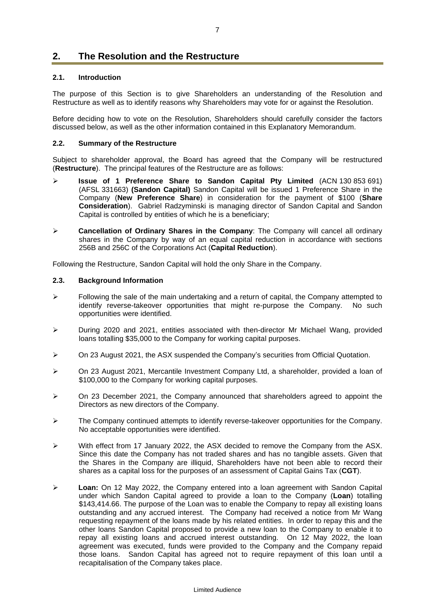# **2. The Resolution and the Restructure**

# **2.1. Introduction**

The purpose of this Section is to give Shareholders an understanding of the Resolution and Restructure as well as to identify reasons why Shareholders may vote for or against the Resolution.

Before deciding how to vote on the Resolution, Shareholders should carefully consider the factors discussed below, as well as the other information contained in this Explanatory Memorandum.

#### **2.2. Summary of the Restructure**

Subject to shareholder approval, the Board has agreed that the Company will be restructured (**Restructure**). The principal features of the Restructure are as follows:

- ➢ **Issue of 1 Preference Share to Sandon Capital Pty Limited** (ACN 130 853 691) (AFSL 331663) **(Sandon Capital)** Sandon Capital will be issued 1 Preference Share in the Company (**New Preference Share**) in consideration for the payment of \$100 (**Share Consideration**). Gabriel Radzyminski is managing director of Sandon Capital and Sandon Capital is controlled by entities of which he is a beneficiary;
- ➢ **Cancellation of Ordinary Shares in the Company**: The Company will cancel all ordinary shares in the Company by way of an equal capital reduction in accordance with sections 256B and 256C of the Corporations Act (**Capital Reduction**).

Following the Restructure, Sandon Capital will hold the only Share in the Company.

#### **2.3. Background Information**

- $\triangleright$  Following the sale of the main undertaking and a return of capital, the Company attempted to identify reverse-takeover opportunities that might re-purpose the Company. No such opportunities were identified.
- ➢ During 2020 and 2021, entities associated with then-director Mr Michael Wang, provided loans totalling \$35,000 to the Company for working capital purposes.
- ➢ On 23 August 2021, the ASX suspended the Company's securities from Official Quotation.
- ➢ On 23 August 2021, Mercantile Investment Company Ltd, a shareholder, provided a loan of \$100,000 to the Company for working capital purposes.
- $\triangleright$  On 23 December 2021, the Company announced that shareholders agreed to appoint the Directors as new directors of the Company.
- ➢ The Company continued attempts to identify reverse-takeover opportunities for the Company. No acceptable opportunities were identified.
- $\triangleright$  With effect from 17 January 2022, the ASX decided to remove the Company from the ASX. Since this date the Company has not traded shares and has no tangible assets. Given that the Shares in the Company are illiquid, Shareholders have not been able to record their shares as a capital loss for the purposes of an assessment of Capital Gains Tax (**CGT**).
- ➢ **Loan:** On 12 May 2022, the Company entered into a loan agreement with Sandon Capital under which Sandon Capital agreed to provide a loan to the Company (**Loan**) totalling \$143,414.66. The purpose of the Loan was to enable the Company to repay all existing loans outstanding and any accrued interest. The Company had received a notice from Mr Wang requesting repayment of the loans made by his related entities. In order to repay this and the other loans Sandon Capital proposed to provide a new loan to the Company to enable it to repay all existing loans and accrued interest outstanding. On 12 May 2022, the loan agreement was executed, funds were provided to the Company and the Company repaid those loans. Sandon Capital has agreed not to require repayment of this loan until a recapitalisation of the Company takes place.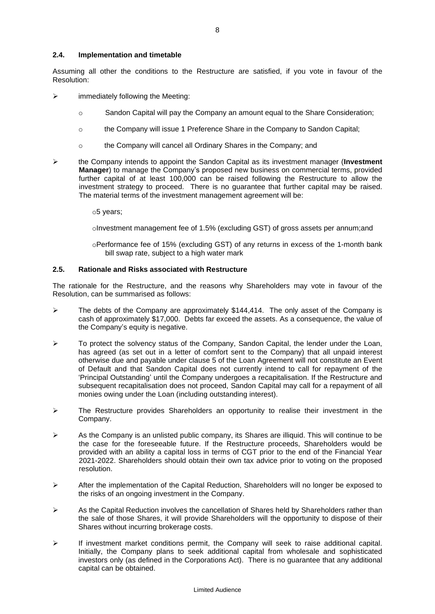# **2.4. Implementation and timetable**

Assuming all other the conditions to the Restructure are satisfied, if you vote in favour of the Resolution:

- $\triangleright$  immediately following the Meeting:
	- o Sandon Capital will pay the Company an amount equal to the Share Consideration;
	- o the Company will issue 1 Preference Share in the Company to Sandon Capital;
	- o the Company will cancel all Ordinary Shares in the Company; and
- ➢ the Company intends to appoint the Sandon Capital as its investment manager (**Investment Manager**) to manage the Company's proposed new business on commercial terms, provided further capital of at least 100,000 can be raised following the Restructure to allow the investment strategy to proceed. There is no guarantee that further capital may be raised. The material terms of the investment management agreement will be:
	- o5 years;

 $\circ$ Investment management fee of 1.5% (excluding GST) of gross assets per annum;and

oPerformance fee of 15% (excluding GST) of any returns in excess of the 1-month bank bill swap rate, subject to a high water mark

# **2.5. Rationale and Risks associated with Restructure**

The rationale for the Restructure, and the reasons why Shareholders may vote in favour of the Resolution, can be summarised as follows:

- ➢ The debts of the Company are approximately \$144,414. The only asset of the Company is cash of approximately \$17,000. Debts far exceed the assets. As a consequence, the value of the Company's equity is negative.
- ➢ To protect the solvency status of the Company, Sandon Capital, the lender under the Loan, has agreed (as set out in a letter of comfort sent to the Company) that all unpaid interest otherwise due and payable under clause 5 of the Loan Agreement will not constitute an Event of Default and that Sandon Capital does not currently intend to call for repayment of the 'Principal Outstanding' until the Company undergoes a recapitalisation. If the Restructure and subsequent recapitalisation does not proceed, Sandon Capital may call for a repayment of all monies owing under the Loan (including outstanding interest).
- $\triangleright$  The Restructure provides Shareholders an opportunity to realise their investment in the Company.
- $\triangleright$  As the Company is an unlisted public company, its Shares are illiquid. This will continue to be the case for the foreseeable future. If the Restructure proceeds, Shareholders would be provided with an ability a capital loss in terms of CGT prior to the end of the Financial Year 2021-2022. Shareholders should obtain their own tax advice prior to voting on the proposed resolution.
- $\triangleright$  After the implementation of the Capital Reduction, Shareholders will no longer be exposed to the risks of an ongoing investment in the Company.
- $\triangleright$  As the Capital Reduction involves the cancellation of Shares held by Shareholders rather than the sale of those Shares, it will provide Shareholders will the opportunity to dispose of their Shares without incurring brokerage costs.
- ➢ If investment market conditions permit, the Company will seek to raise additional capital. Initially, the Company plans to seek additional capital from wholesale and sophisticated investors only (as defined in the Corporations Act). There is no guarantee that any additional capital can be obtained.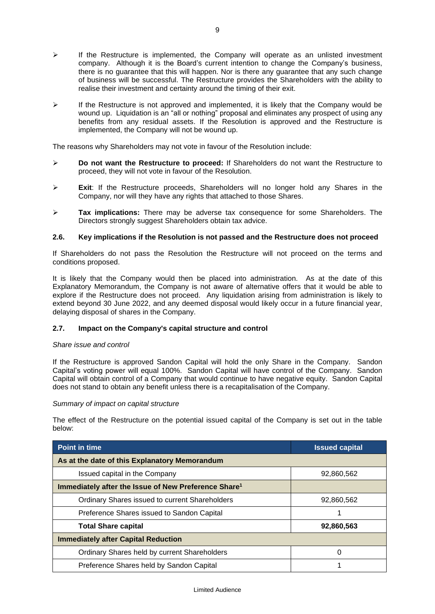- $\triangleright$  If the Restructure is implemented, the Company will operate as an unlisted investment company. Although it is the Board's current intention to change the Company's business, there is no guarantee that this will happen. Nor is there any guarantee that any such change of business will be successful. The Restructure provides the Shareholders with the ability to realise their investment and certainty around the timing of their exit.
- $\triangleright$  If the Restructure is not approved and implemented, it is likely that the Company would be wound up. Liquidation is an "all or nothing" proposal and eliminates any prospect of using any benefits from any residual assets. If the Resolution is approved and the Restructure is implemented, the Company will not be wound up.

The reasons why Shareholders may not vote in favour of the Resolution include:

- ➢ **Do not want the Restructure to proceed:** If Shareholders do not want the Restructure to proceed, they will not vote in favour of the Resolution.
- ➢ **Exit**: If the Restructure proceeds, Shareholders will no longer hold any Shares in the Company, nor will they have any rights that attached to those Shares.
- ➢ **Tax implications:** There may be adverse tax consequence for some Shareholders. The Directors strongly suggest Shareholders obtain tax advice.

# **2.6. Key implications if the Resolution is not passed and the Restructure does not proceed**

If Shareholders do not pass the Resolution the Restructure will not proceed on the terms and conditions proposed.

It is likely that the Company would then be placed into administration. As at the date of this Explanatory Memorandum, the Company is not aware of alternative offers that it would be able to explore if the Restructure does not proceed. Any liquidation arising from administration is likely to extend beyond 30 June 2022, and any deemed disposal would likely occur in a future financial year, delaying disposal of shares in the Company.

# **2.7. Impact on the Company's capital structure and control**

#### *Share issue and control*

If the Restructure is approved Sandon Capital will hold the only Share in the Company. Sandon Capital's voting power will equal 100%. Sandon Capital will have control of the Company. Sandon Capital will obtain control of a Company that would continue to have negative equity. Sandon Capital does not stand to obtain any benefit unless there is a recapitalisation of the Company.

#### *Summary of impact on capital structure*

The effect of the Restructure on the potential issued capital of the Company is set out in the table below:

| Point in time                                                    | <b>Issued capital</b> |  |
|------------------------------------------------------------------|-----------------------|--|
| As at the date of this Explanatory Memorandum                    |                       |  |
| Issued capital in the Company                                    | 92,860,562            |  |
| Immediately after the Issue of New Preference Share <sup>1</sup> |                       |  |
| Ordinary Shares issued to current Shareholders                   | 92,860,562            |  |
| Preference Shares issued to Sandon Capital                       |                       |  |
| <b>Total Share capital</b>                                       | 92,860,563            |  |
| <b>Immediately after Capital Reduction</b>                       |                       |  |
| Ordinary Shares held by current Shareholders                     | 0                     |  |
| Preference Shares held by Sandon Capital                         |                       |  |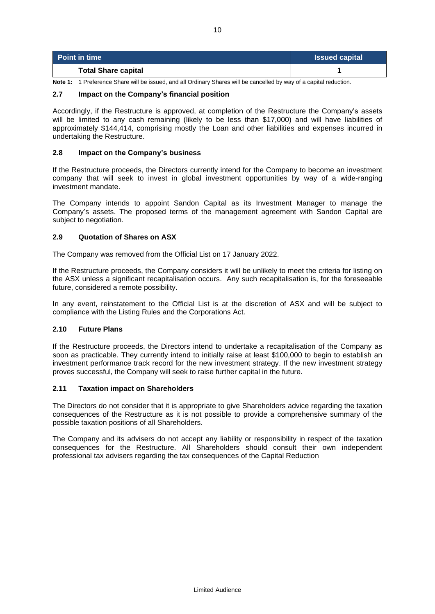| <b>Point in time</b>       | <b>Issued capital</b> |
|----------------------------|-----------------------|
| <b>Total Share capital</b> |                       |

**Note 1:** 1 Preference Share will be issued, and all Ordinary Shares will be cancelled by way of a capital reduction.

# **2.7 Impact on the Company's financial position**

Accordingly, if the Restructure is approved, at completion of the Restructure the Company's assets will be limited to any cash remaining (likely to be less than \$17,000) and will have liabilities of approximately \$144,414, comprising mostly the Loan and other liabilities and expenses incurred in undertaking the Restructure.

### **2.8 Impact on the Company's business**

If the Restructure proceeds, the Directors currently intend for the Company to become an investment company that will seek to invest in global investment opportunities by way of a wide-ranging investment mandate.

The Company intends to appoint Sandon Capital as its Investment Manager to manage the Company's assets. The proposed terms of the management agreement with Sandon Capital are subject to negotiation.

# **2.9 Quotation of Shares on ASX**

The Company was removed from the Official List on 17 January 2022.

If the Restructure proceeds, the Company considers it will be unlikely to meet the criteria for listing on the ASX unless a significant recapitalisation occurs. Any such recapitalisation is, for the foreseeable future, considered a remote possibility.

In any event, reinstatement to the Official List is at the discretion of ASX and will be subject to compliance with the Listing Rules and the Corporations Act.

#### **2.10 Future Plans**

If the Restructure proceeds, the Directors intend to undertake a recapitalisation of the Company as soon as practicable. They currently intend to initially raise at least \$100,000 to begin to establish an investment performance track record for the new investment strategy. If the new investment strategy proves successful, the Company will seek to raise further capital in the future.

#### **2.11 Taxation impact on Shareholders**

The Directors do not consider that it is appropriate to give Shareholders advice regarding the taxation consequences of the Restructure as it is not possible to provide a comprehensive summary of the possible taxation positions of all Shareholders.

The Company and its advisers do not accept any liability or responsibility in respect of the taxation consequences for the Restructure. All Shareholders should consult their own independent professional tax advisers regarding the tax consequences of the Capital Reduction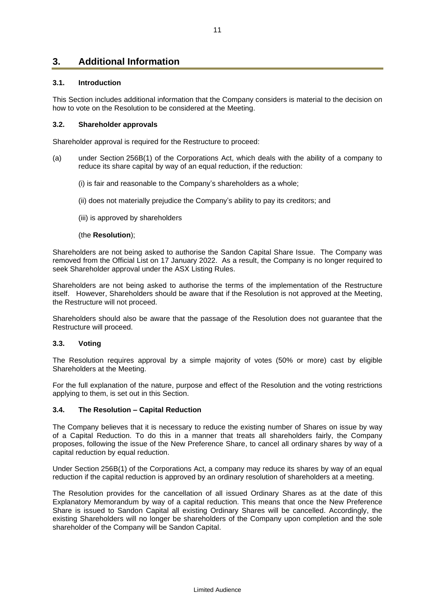# **3. Additional Information**

# **3.1. Introduction**

This Section includes additional information that the Company considers is material to the decision on how to vote on the Resolution to be considered at the Meeting.

# **3.2. Shareholder approvals**

Shareholder approval is required for the Restructure to proceed:

- (a) under Section 256B(1) of the Corporations Act, which deals with the ability of a company to reduce its share capital by way of an equal reduction, if the reduction:
	- (i) is fair and reasonable to the Company's shareholders as a whole;
	- (ii) does not materially prejudice the Company's ability to pay its creditors; and
	- (iii) is approved by shareholders

#### (the **Resolution**);

Shareholders are not being asked to authorise the Sandon Capital Share Issue. The Company was removed from the Official List on 17 January 2022. As a result, the Company is no longer required to seek Shareholder approval under the ASX Listing Rules.

Shareholders are not being asked to authorise the terms of the implementation of the Restructure itself. However, Shareholders should be aware that if the Resolution is not approved at the Meeting, the Restructure will not proceed.

Shareholders should also be aware that the passage of the Resolution does not guarantee that the Restructure will proceed.

#### **3.3. Voting**

The Resolution requires approval by a simple majority of votes (50% or more) cast by eligible Shareholders at the Meeting.

For the full explanation of the nature, purpose and effect of the Resolution and the voting restrictions applying to them, is set out in this Section.

# **3.4. The Resolution – Capital Reduction**

The Company believes that it is necessary to reduce the existing number of Shares on issue by way of a Capital Reduction. To do this in a manner that treats all shareholders fairly, the Company proposes, following the issue of the New Preference Share, to cancel all ordinary shares by way of a capital reduction by equal reduction.

Under Section 256B(1) of the Corporations Act, a company may reduce its shares by way of an equal reduction if the capital reduction is approved by an ordinary resolution of shareholders at a meeting.

The Resolution provides for the cancellation of all issued Ordinary Shares as at the date of this Explanatory Memorandum by way of a capital reduction. This means that once the New Preference Share is issued to Sandon Capital all existing Ordinary Shares will be cancelled. Accordingly, the existing Shareholders will no longer be shareholders of the Company upon completion and the sole shareholder of the Company will be Sandon Capital.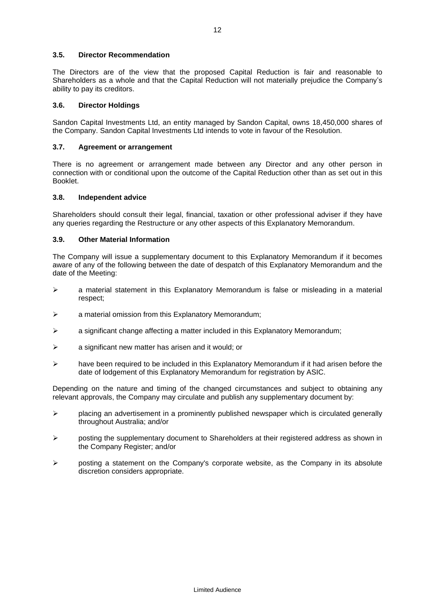# **3.5. Director Recommendation**

The Directors are of the view that the proposed Capital Reduction is fair and reasonable to Shareholders as a whole and that the Capital Reduction will not materially prejudice the Company's ability to pay its creditors.

# **3.6. Director Holdings**

Sandon Capital Investments Ltd, an entity managed by Sandon Capital, owns 18,450,000 shares of the Company. Sandon Capital Investments Ltd intends to vote in favour of the Resolution.

# **3.7. Agreement or arrangement**

There is no agreement or arrangement made between any Director and any other person in connection with or conditional upon the outcome of the Capital Reduction other than as set out in this Booklet.

# **3.8. Independent advice**

Shareholders should consult their legal, financial, taxation or other professional adviser if they have any queries regarding the Restructure or any other aspects of this Explanatory Memorandum.

# **3.9. Other Material Information**

The Company will issue a supplementary document to this Explanatory Memorandum if it becomes aware of any of the following between the date of despatch of this Explanatory Memorandum and the date of the Meeting:

- ➢ a material statement in this Explanatory Memorandum is false or misleading in a material respect;
- ➢ a material omission from this Explanatory Memorandum;
- ➢ a significant change affecting a matter included in this Explanatory Memorandum;
- ➢ a significant new matter has arisen and it would; or
- $\triangleright$  have been required to be included in this Explanatory Memorandum if it had arisen before the date of lodgement of this Explanatory Memorandum for registration by ASIC.

Depending on the nature and timing of the changed circumstances and subject to obtaining any relevant approvals, the Company may circulate and publish any supplementary document by:

- $\triangleright$  placing an advertisement in a prominently published newspaper which is circulated generally throughout Australia; and/or
- $\triangleright$  posting the supplementary document to Shareholders at their registered address as shown in the Company Register; and/or
- $\triangleright$  posting a statement on the Company's corporate website, as the Company in its absolute discretion considers appropriate.